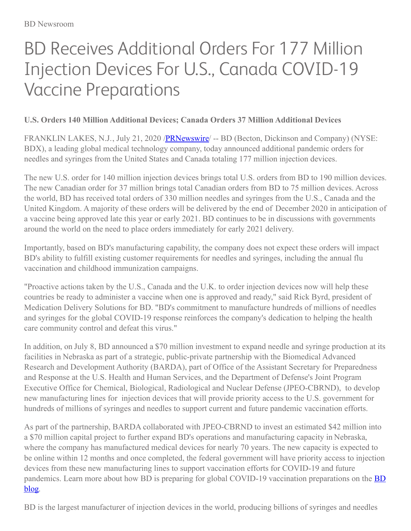# BD Receives Additional Orders For 177 Million Injection Devices For U.S., Canada COVID-19 Vaccine Preparations

# **U.S. Orders 140 Million Additional Devices; Canada Orders 37 Million Additional Devices**

FRANKLIN LAKES, N.J., July 21, 2020 /**PRNewswire** -- BD (Becton, Dickinson and Company) (NYSE: BDX), a leading global medical technology company, today announced additional pandemic orders for needles and syringes from the United States and Canada totaling 177 million injection devices.

The new U.S. order for 140 million injection devices brings total U.S. orders from BD to 190 million devices. The new Canadian order for 37 million brings total Canadian orders from BD to 75 million devices. Across the world, BD has received total orders of 330 million needles and syringes from the U.S., Canada and the United Kingdom. A majority of these orders will be delivered by the end of December 2020 in anticipation of a vaccine being approved late this year or early 2021. BD continues to be in discussions with governments around the world on the need to place orders immediately for early 2021 delivery.

Importantly, based on BD's manufacturing capability, the company does not expect these orders will impact BD's ability to fulfill existing customer requirements for needles and syringes, including the annual flu vaccination and childhood immunization campaigns.

"Proactive actions taken by the U.S., Canada and the U.K. to order injection devices now will help these countries be ready to administer a vaccine when one is approved and ready," said Rick Byrd, president of Medication Delivery Solutions for BD. "BD's commitment to manufacture hundreds of millions of needles and syringes for the global COVID-19 response reinforces the company's dedication to helping the health care community control and defeat this virus."

In addition, on July 8, BD announced a \$70 million investment to expand needle and syringe production at its facilities in Nebraska as part of a strategic, public-private partnership with the Biomedical Advanced Research and Development Authority (BARDA), part of Office of the Assistant Secretary for Preparedness and Response at the U.S. Health and Human Services, and the Department of Defense's Joint Program Executive Office for Chemical, Biological, Radiological and Nuclear Defense (JPEO-CBRND), to develop new manufacturing lines for injection devices that will provide priority access to the U.S. government for hundreds of millions of syringes and needles to support current and future pandemic vaccination efforts.

As part of the partnership, BARDA collaborated with JPEO-CBRND to invest an estimated \$42 million into a \$70 million capital project to further expand BD's operations and manufacturing capacity in Nebraska, where the company has manufactured medical devices for nearly 70 years. The new capacity is expected to be online within 12 months and once completed, the federal government will have priority access to injection devices from these new manufacturing lines to support vaccination efforts for COVID-19 and future pandemics. Learn more about how BD is preparing for global COVID-19 vaccination [preparations](https://c212.net/c/link/?t=0&l=en&o=2862673-1&h=429020813&u=https%3A%2F%2Fnews.bd.com%2FHow-BD-is-preparing-for-global-COVID-19-vaccination-campaigns&a=BD+blog) on the **BD** blog.

BD is the largest manufacturer of injection devices in the world, producing billions of syringes and needles